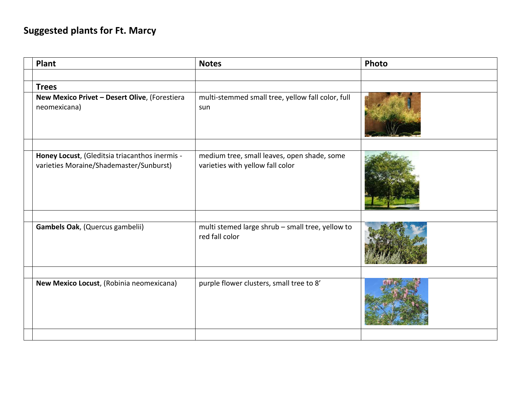## **Suggested plants for Ft. Marcy**

| <b>Plant</b>                                                  | <b>Notes</b>                                                       | Photo |
|---------------------------------------------------------------|--------------------------------------------------------------------|-------|
|                                                               |                                                                    |       |
| <b>Trees</b>                                                  |                                                                    |       |
| New Mexico Privet - Desert Olive, (Forestiera<br>neomexicana) | multi-stemmed small tree, yellow fall color, full<br>sun           |       |
| Honey Locust, (Gleditsia triacanthos inermis -                | medium tree, small leaves, open shade, some                        |       |
| varieties Moraine/Shademaster/Sunburst)                       | varieties with yellow fall color                                   |       |
|                                                               |                                                                    |       |
| Gambels Oak, (Quercus gambelii)                               | multi stemed large shrub - small tree, yellow to<br>red fall color |       |
|                                                               |                                                                    |       |
| New Mexico Locust, (Robinia neomexicana)                      | purple flower clusters, small tree to 8'                           |       |
|                                                               |                                                                    |       |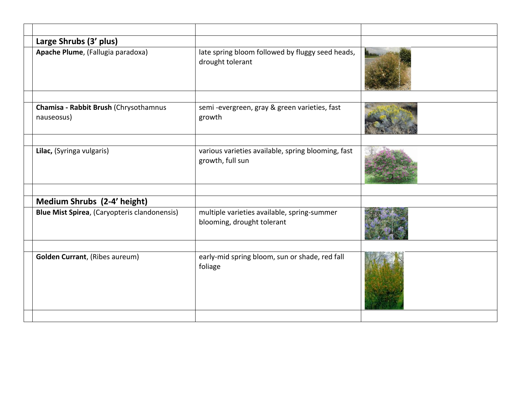| Large Shrubs (3' plus)                              |                                                                           |  |
|-----------------------------------------------------|---------------------------------------------------------------------------|--|
| Apache Plume, (Fallugia paradoxa)                   | late spring bloom followed by fluggy seed heads,<br>drought tolerant      |  |
|                                                     |                                                                           |  |
| Chamisa - Rabbit Brush (Chrysothamnus<br>nauseosus) | semi-evergreen, gray & green varieties, fast<br>growth                    |  |
|                                                     |                                                                           |  |
| Lilac, (Syringa vulgaris)                           | various varieties available, spring blooming, fast<br>growth, full sun    |  |
| Medium Shrubs (2-4' height)                         |                                                                           |  |
|                                                     |                                                                           |  |
| <b>Blue Mist Spirea, (Caryopteris clandonensis)</b> | multiple varieties available, spring-summer<br>blooming, drought tolerant |  |
|                                                     |                                                                           |  |
| <b>Golden Currant, (Ribes aureum)</b>               | early-mid spring bloom, sun or shade, red fall<br>foliage                 |  |
|                                                     |                                                                           |  |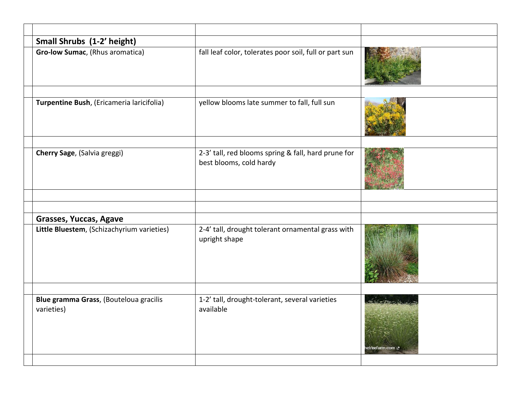| Small Shrubs (1-2' height)                           |                                                                                |                  |
|------------------------------------------------------|--------------------------------------------------------------------------------|------------------|
| Gro-low Sumac, (Rhus aromatica)                      | fall leaf color, tolerates poor soil, full or part sun                         |                  |
|                                                      |                                                                                |                  |
| Turpentine Bush, (Ericameria laricifolia)            | yellow blooms late summer to fall, full sun                                    |                  |
|                                                      |                                                                                |                  |
| Cherry Sage, (Salvia greggi)                         | 2-3' tall, red blooms spring & fall, hard prune for<br>best blooms, cold hardy |                  |
|                                                      |                                                                                |                  |
|                                                      |                                                                                |                  |
| Grasses, Yuccas, Agave                               |                                                                                |                  |
| Little Bluestem, (Schizachyrium varieties)           | 2-4' tall, drought tolerant ornamental grass with<br>upright shape             |                  |
|                                                      |                                                                                |                  |
| Blue gramma Grass, (Bouteloua gracilis<br>varieties) | 1-2' tall, drought-tolerant, several varieties<br>available                    | جı etreefarm.com |
|                                                      |                                                                                |                  |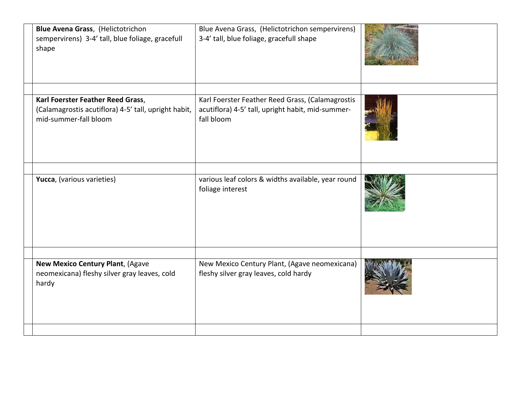| Blue Avena Grass, (Helictotrichon<br>sempervirens) 3-4' tall, blue foliage, gracefull<br>shape |                                                      | Blue Avena Grass, (Helictotrichon sempervirens)<br>3-4' tall, blue foliage, gracefull shape                         |  |
|------------------------------------------------------------------------------------------------|------------------------------------------------------|---------------------------------------------------------------------------------------------------------------------|--|
| Karl Foerster Feather Reed Grass,<br>mid-summer-fall bloom                                     | (Calamagrostis acutiflora) 4-5' tall, upright habit, | Karl Foerster Feather Reed Grass, (Calamagrostis<br>acutiflora) 4-5' tall, upright habit, mid-summer-<br>fall bloom |  |
| Yucca, (various varieties)                                                                     |                                                      | various leaf colors & widths available, year round<br>foliage interest                                              |  |
| New Mexico Century Plant, (Agave<br>neomexicana) fleshy silver gray leaves, cold<br>hardy      |                                                      | New Mexico Century Plant, (Agave neomexicana)<br>fleshy silver gray leaves, cold hardy                              |  |